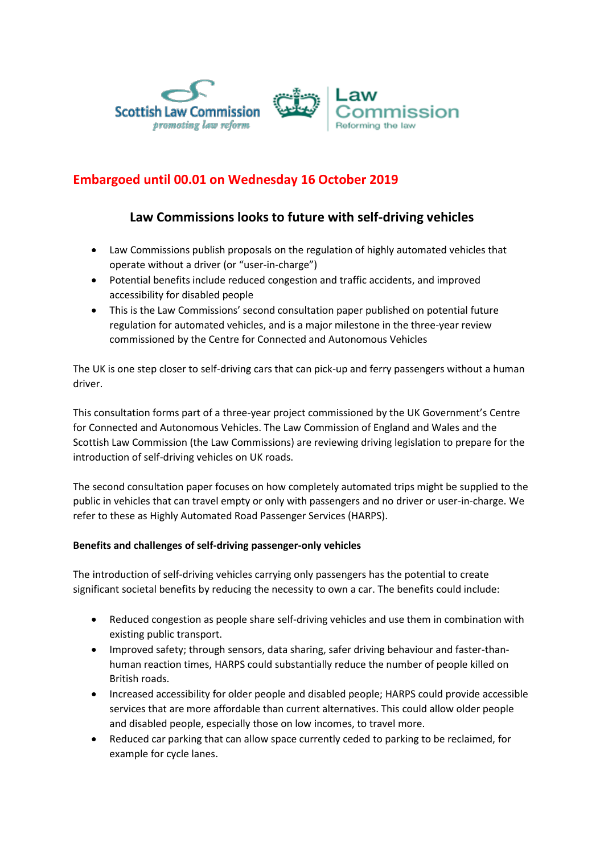



# **Embargoed until 00.01 on Wednesday 16 October 2019**

## **Law Commissions looks to future with self-driving vehicles**

- Law Commissions publish proposals on the regulation of highly automated vehicles that operate without a driver (or "user-in-charge")
- Potential benefits include reduced congestion and traffic accidents, and improved accessibility for disabled people
- This is the Law Commissions' second consultation paper published on potential future regulation for automated vehicles, and is a major milestone in the three-year review commissioned by the Centre for Connected and Autonomous Vehicles

The UK is one step closer to self-driving cars that can pick-up and ferry passengers without a human driver.

This consultation forms part of a three-year project commissioned by the UK Government's Centre for Connected and Autonomous Vehicles. The Law Commission of England and Wales and the Scottish Law Commission (the Law Commissions) are reviewing driving legislation to prepare for the introduction of self-driving vehicles on UK roads.

The second consultation paper focuses on how completely automated trips might be supplied to the public in vehicles that can travel empty or only with passengers and no driver or user-in-charge. We refer to these as Highly Automated Road Passenger Services (HARPS).

## **Benefits and challenges of self-driving passenger-only vehicles**

The introduction of self-driving vehicles carrying only passengers has the potential to create significant societal benefits by reducing the necessity to own a car. The benefits could include:

- Reduced congestion as people share self-driving vehicles and use them in combination with existing public transport.
- Improved safety; through sensors, data sharing, safer driving behaviour and faster-thanhuman reaction times, HARPS could substantially reduce the number of people killed on British roads.
- Increased accessibility for older people and disabled people; HARPS could provide accessible services that are more affordable than current alternatives. This could allow older people and disabled people, especially those on low incomes, to travel more.
- Reduced car parking that can allow space currently ceded to parking to be reclaimed, for example for cycle lanes.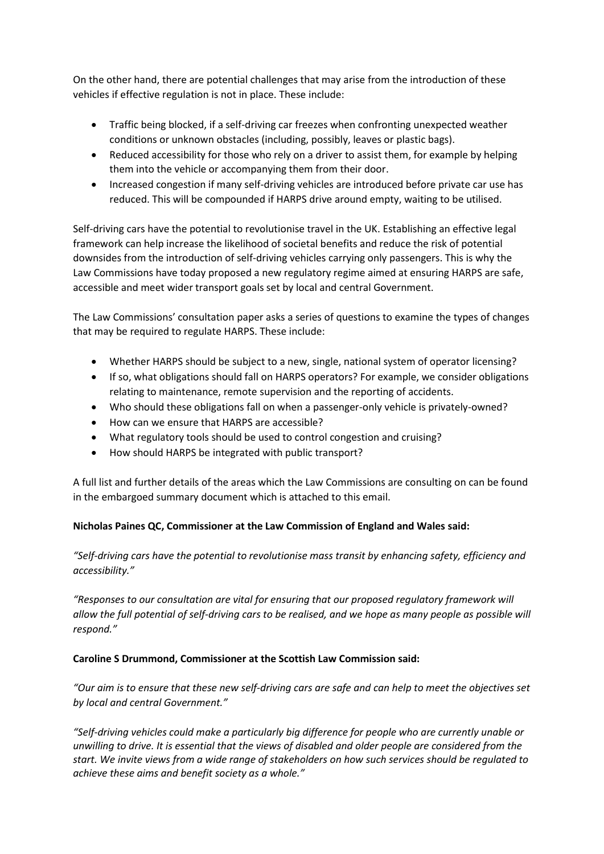On the other hand, there are potential challenges that may arise from the introduction of these vehicles if effective regulation is not in place. These include:

- Traffic being blocked, if a self-driving car freezes when confronting unexpected weather conditions or unknown obstacles (including, possibly, leaves or plastic bags).
- Reduced accessibility for those who rely on a driver to assist them, for example by helping them into the vehicle or accompanying them from their door.
- Increased congestion if many self-driving vehicles are introduced before private car use has reduced. This will be compounded if HARPS drive around empty, waiting to be utilised.

Self-driving cars have the potential to revolutionise travel in the UK. Establishing an effective legal framework can help increase the likelihood of societal benefits and reduce the risk of potential downsides from the introduction of self-driving vehicles carrying only passengers. This is why the Law Commissions have today proposed a new regulatory regime aimed at ensuring HARPS are safe, accessible and meet wider transport goals set by local and central Government.

The Law Commissions' consultation paper asks a series of questions to examine the types of changes that may be required to regulate HARPS. These include:

- Whether HARPS should be subject to a new, single, national system of operator licensing?
- If so, what obligations should fall on HARPS operators? For example, we consider obligations relating to maintenance, remote supervision and the reporting of accidents.
- Who should these obligations fall on when a passenger-only vehicle is privately-owned?
- How can we ensure that HARPS are accessible?
- What regulatory tools should be used to control congestion and cruising?
- How should HARPS be integrated with public transport?

A full list and further details of the areas which the Law Commissions are consulting on can be found in the embargoed summary document which is attached to this email.

## **Nicholas Paines QC, Commissioner at the Law Commission of England and Wales said:**

*"Self-driving cars have the potential to revolutionise mass transit by enhancing safety, efficiency and accessibility."* 

*"Responses to our consultation are vital for ensuring that our proposed regulatory framework will allow the full potential of self-driving cars to be realised, and we hope as many people as possible will respond."* 

## **Caroline S Drummond, Commissioner at the Scottish Law Commission said:**

*"Our aim is to ensure that these new self-driving cars are safe and can help to meet the objectives set by local and central Government."* 

*"Self-driving vehicles could make a particularly big difference for people who are currently unable or unwilling to drive. It is essential that the views of disabled and older people are considered from the start. We invite views from a wide range of stakeholders on how such services should be regulated to achieve these aims and benefit society as a whole."*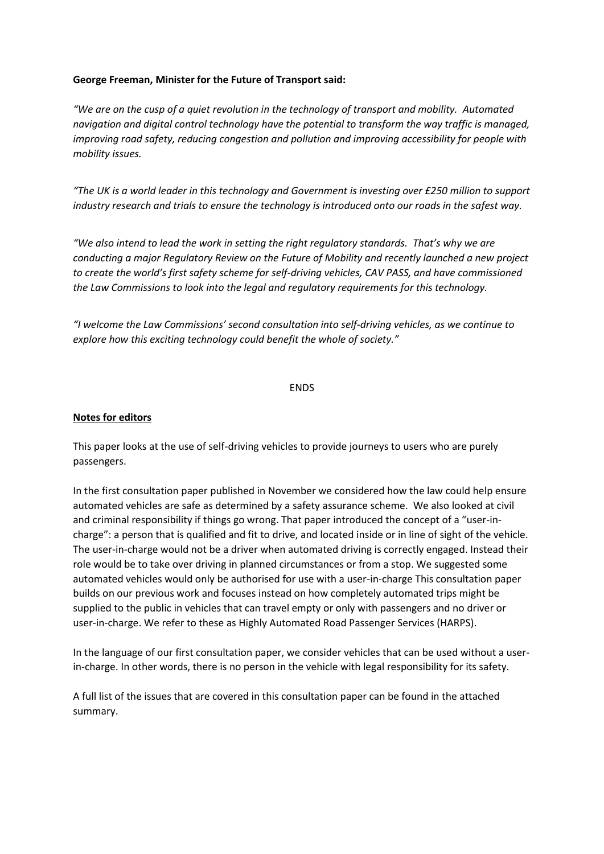### **George Freeman, Minister for the Future of Transport said:**

*"We are on the cusp of a quiet revolution in the technology of transport and mobility. Automated navigation and digital control technology have the potential to transform the way traffic is managed, improving road safety, reducing congestion and pollution and improving accessibility for people with mobility issues.*

*"The UK is a world leader in this technology and Government is investing over £250 million to support industry research and trials to ensure the technology is introduced onto our roads in the safest way.* 

*"We also intend to lead the work in setting the right regulatory standards. That's why we are conducting a major Regulatory Review on the Future of Mobility and recently launched a new project to create the world's first safety scheme for self-driving vehicles, CAV PASS, and have commissioned the Law Commissions to look into the legal and regulatory requirements for this technology.*

*"I welcome the Law Commissions' second consultation into self-driving vehicles, as we continue to explore how this exciting technology could benefit the whole of society."*

#### **ENDS**

#### **Notes for editors**

This paper looks at the use of self-driving vehicles to provide journeys to users who are purely passengers.

In the first consultation paper published in November we considered how the law could help ensure automated vehicles are safe as determined by a safety assurance scheme. We also looked at civil and criminal responsibility if things go wrong. That paper introduced the concept of a "user-incharge": a person that is qualified and fit to drive, and located inside or in line of sight of the vehicle. The user-in-charge would not be a driver when automated driving is correctly engaged. Instead their role would be to take over driving in planned circumstances or from a stop. We suggested some automated vehicles would only be authorised for use with a user-in-charge This consultation paper builds on our previous work and focuses instead on how completely automated trips might be supplied to the public in vehicles that can travel empty or only with passengers and no driver or user-in-charge. We refer to these as Highly Automated Road Passenger Services (HARPS).

In the language of our first consultation paper, we consider vehicles that can be used without a userin-charge. In other words, there is no person in the vehicle with legal responsibility for its safety.

A full list of the issues that are covered in this consultation paper can be found in the attached summary.